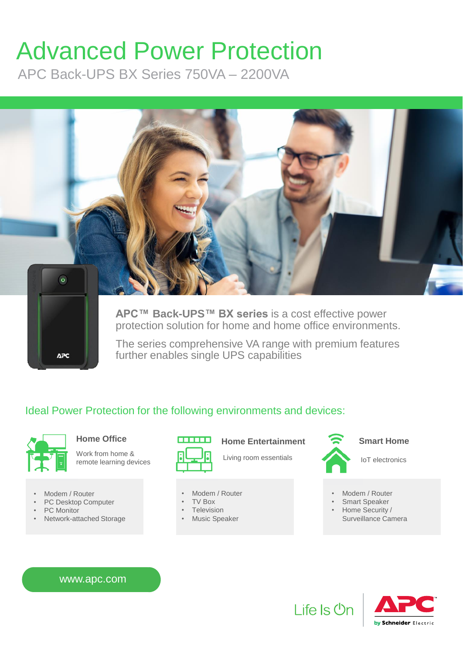# Advanced Power Protection

APC Back-UPS BX Series 750VA – 2200VA



**APC™ Back-UPS™ BX series** is a cost effective power protection solution for home and home office environments.

The series comprehensive VA range with premium features further enables single UPS capabilities

### Ideal Power Protection for the following environments and devices:



Work from home  $\&$   $\begin{bmatrix} 1 & 1 \\ 1 & 1 \end{bmatrix}$  Living room essentials remote learning devices

• Modem / Router

**APC** 

- PC Desktop Computer
- PC Monitor
- Network-attached Storage



• Modem / Router • TV Box **Television Music Speaker** 





#### Home Office **Smart Home Entertainment**Smart Home

IoT electronics

- Modem / Router
- Smart Speaker
- Home Security /
	- Surveillance Camera

www.apc.com



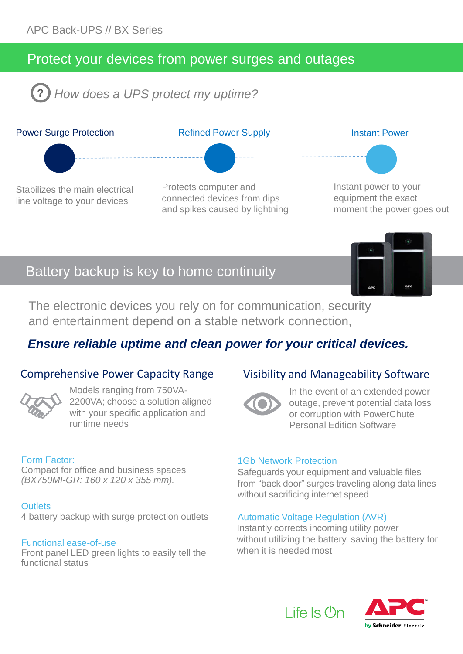# Protect your devices from power surges and outages

**?** *How does a UPS protect my uptime?*



# Battery backup is key to home continuity

The electronic devices you rely on for communication, security and entertainment depend on a stable network connection,

## *Ensure reliable uptime and clean power for your critical devices.*

#### Comprehensive Power Capacity Range



Models ranging from 750VA-2200VA; choose a solution aligned with your specific application and runtime needs

#### Form Factor:

Compact for office and business spaces *(BX750MI-GR: 160 x 120 x 355 mm).* 

#### **Outlets**

4 battery backup with surge protection outlets

#### Functional ease-of-use

Front panel LED green lights to easily tell the functional status

#### Visibility and Manageability Software



In the event of an extended power outage, prevent potential data loss or corruption with PowerChute Personal Edition Software

#### 1Gb Network Protection

Safeguards your equipment and valuable files from "back door" surges traveling along data lines without sacrificing internet speed

#### Automatic Voltage Regulation (AVR)

Life Is **U**r

Instantly corrects incoming utility power without utilizing the battery, saving the battery for when it is needed most